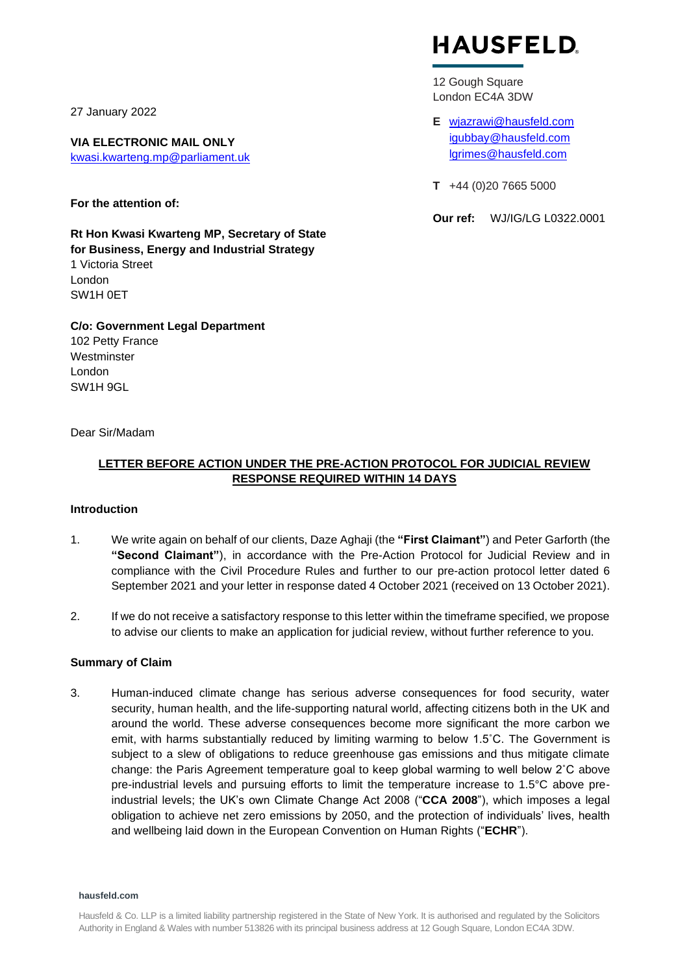27 January 2022

**VIA ELECTRONIC MAIL ONLY** [kwasi.kwarteng.mp@parliament.uk](mailto:kwasi.kwarteng.mp@parliament.uk)

**For the attention of:**

**Rt Hon Kwasi Kwarteng MP, Secretary of State for Business, Energy and Industrial Strategy** 1 Victoria Street London SW1H 0ET

**C/o: Government Legal Department**  102 Petty France

**Westminster** London SW1H 9GL

Dear Sir/Madam

# **HAUSFELD**

12 Gough Square London EC4A 3DW

- **E** [wjazrawi@hausfeld.com](mailto:wjazrawi@hausfeld.com)  [igubbay@hausfeld.com](mailto:igubbay@hausfeld.com) [lgrimes@hausfeld.com](mailto:lgrimes@hausfeld.com)
- **T** +44 (0)20 7665 5000

**Our ref:** WJ/IG/LG L0322.0001

**LETTER BEFORE ACTION UNDER THE PRE-ACTION PROTOCOL FOR JUDICIAL REVIEW RESPONSE REQUIRED WITHIN 14 DAYS**

# **Introduction**

- 1. We write again on behalf of our clients, Daze Aghaji (the **"First Claimant"**) and Peter Garforth (the **"Second Claimant"**), in accordance with the Pre-Action Protocol for Judicial Review and in compliance with the Civil Procedure Rules and further to our pre-action protocol letter dated 6 September 2021 and your letter in response dated 4 October 2021 (received on 13 October 2021).
- 2. If we do not receive a satisfactory response to this letter within the timeframe specified, we propose to advise our clients to make an application for judicial review, without further reference to you.

# **Summary of Claim**

3. Human-induced climate change has serious adverse consequences for food security, water security, human health, and the life-supporting natural world, affecting citizens both in the UK and around the world. These adverse consequences become more significant the more carbon we emit, with harms substantially reduced by limiting warming to below 1.5˚C. The Government is subject to a slew of obligations to reduce greenhouse gas emissions and thus mitigate climate change: the Paris Agreement temperature goal to keep global warming to well below 2˚C above pre-industrial levels and pursuing efforts to limit the temperature increase to 1.5°C above preindustrial levels; the UK's own Climate Change Act 2008 ("**CCA 2008**"), which imposes a legal obligation to achieve net zero emissions by 2050, and the protection of individuals' lives, health and wellbeing laid down in the European Convention on Human Rights ("**ECHR**").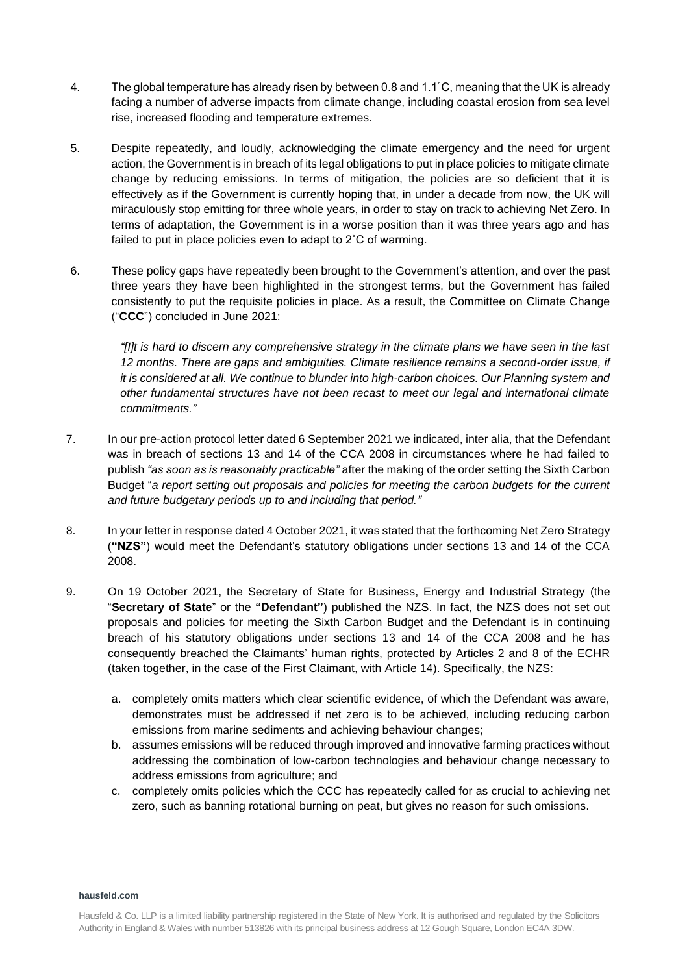- 4. The global temperature has already risen by between 0.8 and 1.1˚C, meaning that the UK is already facing a number of adverse impacts from climate change, including coastal erosion from sea level rise, increased flooding and temperature extremes.
- 5. Despite repeatedly, and loudly, acknowledging the climate emergency and the need for urgent action, the Government is in breach of its legal obligations to put in place policies to mitigate climate change by reducing emissions. In terms of mitigation, the policies are so deficient that it is effectively as if the Government is currently hoping that, in under a decade from now, the UK will miraculously stop emitting for three whole years, in order to stay on track to achieving Net Zero. In terms of adaptation, the Government is in a worse position than it was three years ago and has failed to put in place policies even to adapt to 2˚C of warming.
- 6. These policy gaps have repeatedly been brought to the Government's attention, and over the past three years they have been highlighted in the strongest terms, but the Government has failed consistently to put the requisite policies in place. As a result, the Committee on Climate Change ("**CCC**") concluded in June 2021:

*"[I]t is hard to discern any comprehensive strategy in the climate plans we have seen in the last 12 months. There are gaps and ambiguities. Climate resilience remains a second-order issue, if it is considered at all. We continue to blunder into high-carbon choices. Our Planning system and other fundamental structures have not been recast to meet our legal and international climate commitments."*

- 7. In our pre-action protocol letter dated 6 September 2021 we indicated, inter alia, that the Defendant was in breach of sections 13 and 14 of the CCA 2008 in circumstances where he had failed to publish *"as soon as is reasonably practicable"* after the making of the order setting the Sixth Carbon Budget "*a report setting out proposals and policies for meeting the carbon budgets for the current and future budgetary periods up to and including that period."*
- 8. In your letter in response dated 4 October 2021, it was stated that the forthcoming Net Zero Strategy (**"NZS"**) would meet the Defendant's statutory obligations under sections 13 and 14 of the CCA 2008.
- 9. On 19 October 2021, the Secretary of State for Business, Energy and Industrial Strategy (the "**Secretary of State**" or the **"Defendant"**) published the NZS. In fact, the NZS does not set out proposals and policies for meeting the Sixth Carbon Budget and the Defendant is in continuing breach of his statutory obligations under sections 13 and 14 of the CCA 2008 and he has consequently breached the Claimants' human rights, protected by Articles 2 and 8 of the ECHR (taken together, in the case of the First Claimant, with Article 14). Specifically, the NZS:
	- a. completely omits matters which clear scientific evidence, of which the Defendant was aware, demonstrates must be addressed if net zero is to be achieved, including reducing carbon emissions from marine sediments and achieving behaviour changes;
	- b. assumes emissions will be reduced through improved and innovative farming practices without addressing the combination of low-carbon technologies and behaviour change necessary to address emissions from agriculture; and
	- c. completely omits policies which the CCC has repeatedly called for as crucial to achieving net zero, such as banning rotational burning on peat, but gives no reason for such omissions.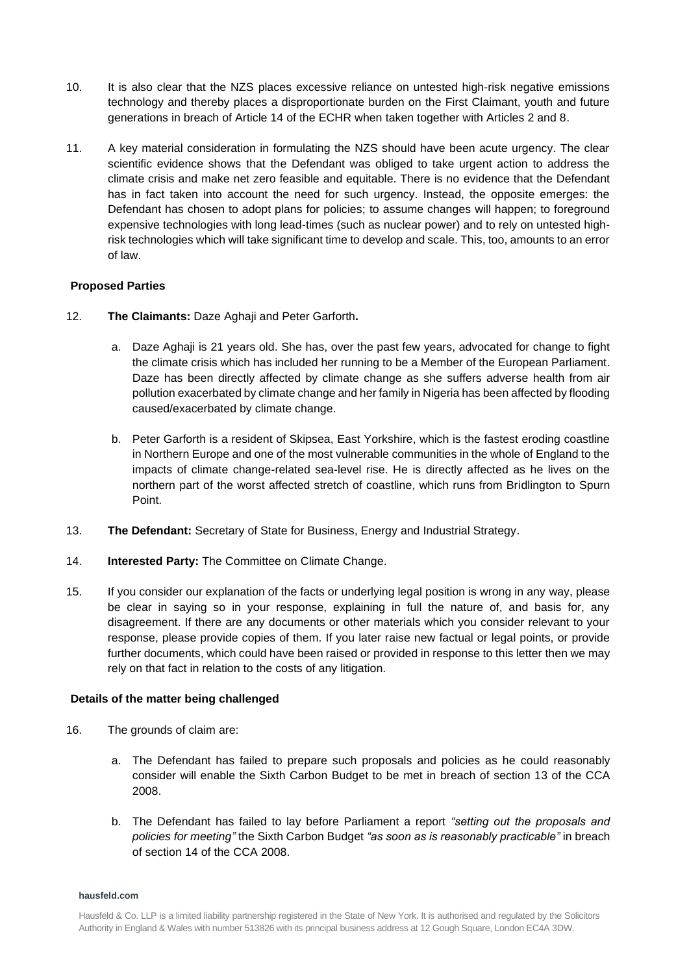- 10. It is also clear that the NZS places excessive reliance on untested high-risk negative emissions technology and thereby places a disproportionate burden on the First Claimant, youth and future generations in breach of Article 14 of the ECHR when taken together with Articles 2 and 8.
- 11. A key material consideration in formulating the NZS should have been acute urgency. The clear scientific evidence shows that the Defendant was obliged to take urgent action to address the climate crisis and make net zero feasible and equitable. There is no evidence that the Defendant has in fact taken into account the need for such urgency. Instead, the opposite emerges: the Defendant has chosen to adopt plans for policies; to assume changes will happen; to foreground expensive technologies with long lead-times (such as nuclear power) and to rely on untested highrisk technologies which will take significant time to develop and scale. This, too, amounts to an error of law.

## **Proposed Parties**

- 12. **The Claimants:** Daze Aghaji and Peter Garforth**.**
	- a. Daze Aghaji is 21 years old. She has, over the past few years, advocated for change to fight the climate crisis which has included her running to be a Member of the European Parliament. Daze has been directly affected by climate change as she suffers adverse health from air pollution exacerbated by climate change and her family in Nigeria has been affected by flooding caused/exacerbated by climate change.
	- b. Peter Garforth is a resident of Skipsea, East Yorkshire, which is the fastest eroding coastline in Northern Europe and one of the most vulnerable communities in the whole of England to the impacts of climate change-related sea-level rise. He is directly affected as he lives on the northern part of the worst affected stretch of coastline, which runs from Bridlington to Spurn Point.
- 13. **The Defendant:** Secretary of State for Business, Energy and Industrial Strategy.
- 14. **Interested Party:** The Committee on Climate Change.
- 15. If you consider our explanation of the facts or underlying legal position is wrong in any way, please be clear in saying so in your response, explaining in full the nature of, and basis for, any disagreement. If there are any documents or other materials which you consider relevant to your response, please provide copies of them. If you later raise new factual or legal points, or provide further documents, which could have been raised or provided in response to this letter then we may rely on that fact in relation to the costs of any litigation.

## **Details of the matter being challenged**

- 16. The grounds of claim are:
	- a. The Defendant has failed to prepare such proposals and policies as he could reasonably consider will enable the Sixth Carbon Budget to be met in breach of section 13 of the CCA 2008.
	- b. The Defendant has failed to lay before Parliament a report *"setting out the proposals and policies for meeting"* the Sixth Carbon Budget *"as soon as is reasonably practicable"* in breach of section 14 of the CCA 2008.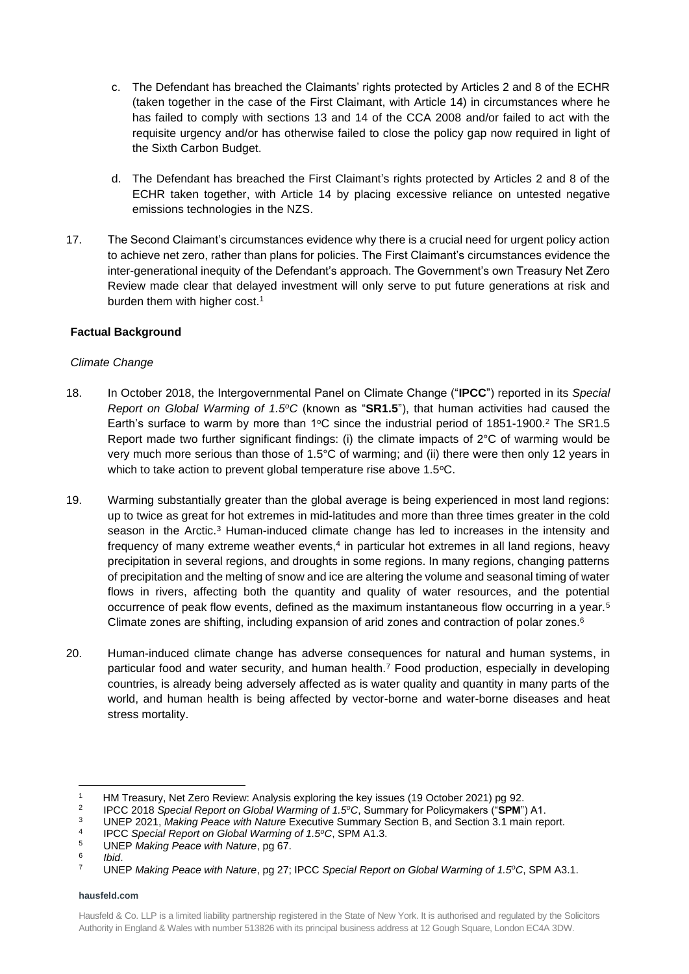- c. The Defendant has breached the Claimants' rights protected by Articles 2 and 8 of the ECHR (taken together in the case of the First Claimant, with Article 14) in circumstances where he has failed to comply with sections 13 and 14 of the CCA 2008 and/or failed to act with the requisite urgency and/or has otherwise failed to close the policy gap now required in light of the Sixth Carbon Budget.
- d. The Defendant has breached the First Claimant's rights protected by Articles 2 and 8 of the ECHR taken together, with Article 14 by placing excessive reliance on untested negative emissions technologies in the NZS.
- 17. The Second Claimant's circumstances evidence why there is a crucial need for urgent policy action to achieve net zero, rather than plans for policies. The First Claimant's circumstances evidence the inter-generational inequity of the Defendant's approach. The Government's own Treasury Net Zero Review made clear that delayed investment will only serve to put future generations at risk and burden them with higher cost.<sup>1</sup>

# **Factual Background**

# *Climate Change*

- 18. In October 2018, the Intergovernmental Panel on Climate Change ("**IPCC**") reported in its *Special Report on Global Warming of 1.5<sup>o</sup>C* (known as "**SR1.5**"), that human activities had caused the Earth's surface to warm by more than  $1^{\circ}$ C since the industrial period of 1851-1900.<sup>2</sup> The SR1.5 Report made two further significant findings: (i) the climate impacts of  $2^{\circ}$ C of warming would be very much more serious than those of 1.5°C of warming; and (ii) there were then only 12 years in which to take action to prevent global temperature rise above 1.5°C.
- 19. Warming substantially greater than the global average is being experienced in most land regions: up to twice as great for hot extremes in mid-latitudes and more than three times greater in the cold season in the Arctic.<sup>3</sup> Human-induced climate change has led to increases in the intensity and frequency of many extreme weather events,<sup>4</sup> in particular hot extremes in all land regions, heavy precipitation in several regions, and droughts in some regions. In many regions, changing patterns of precipitation and the melting of snow and ice are altering the volume and seasonal timing of water flows in rivers, affecting both the quantity and quality of water resources, and the potential occurrence of peak flow events, defined as the maximum instantaneous flow occurring in a year.<sup>5</sup> Climate zones are shifting, including expansion of arid zones and contraction of polar zones.<sup>6</sup>
- 20. Human-induced climate change has adverse consequences for natural and human systems, in particular food and water security, and human health.<sup>7</sup> Food production, especially in developing countries, is already being adversely affected as is water quality and quantity in many parts of the world, and human health is being affected by vector-borne and water-borne diseases and heat stress mortality.

<sup>1</sup> HM Treasury, Net Zero Review: Analysis exploring the key issues (19 October 2021) pg 92.

 $\mathfrak{D}$ IPCC 2018 *Special Report on Global Warming of 1.5<sup>o</sup>C*, Summary for Policymakers ("**SPM**") A1.

<sup>3</sup> UNEP 2021, *Making Peace with Nature* Executive Summary Section B, and Section 3.1 main report.

<sup>4</sup> IPCC *Special Report on Global Warming of 1.5<sup>o</sup>C*, SPM A1.3.

<sup>5</sup> UNEP *Making Peace with Nature*, pg 67.

<sup>6</sup> *Ibid*.

<sup>7</sup> UNEP *Making Peace with Nature*, pg 27; IPCC *Special Report on Global Warming of 1.5<sup>o</sup>C*, SPM A3.1.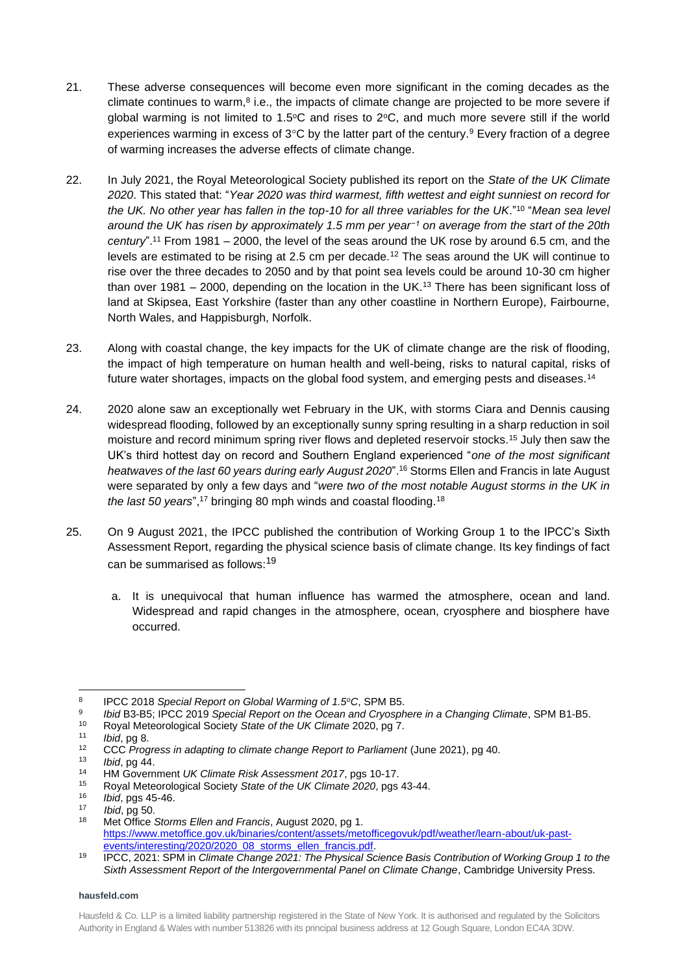- 21. These adverse consequences will become even more significant in the coming decades as the climate continues to warm, $8$  i.e., the impacts of climate change are projected to be more severe if global warming is not limited to 1.5 $\degree$ C and rises to 2 $\degree$ C, and much more severe still if the world experiences warming in excess of  $3^{\circ}$ C by the latter part of the century.<sup>9</sup> Every fraction of a degree of warming increases the adverse effects of climate change.
- 22. In July 2021, the Royal Meteorological Society published its report on the *State of the UK Climate 2020*. This stated that: "*Year 2020 was third warmest, fifth wettest and eight sunniest on record for the UK. No other year has fallen in the top-10 for all three variables for the UK*."<sup>10</sup> "*Mean sea level around the UK has risen by approximately 1.5 mm per year−1 on average from the start of the 20th century*". <sup>11</sup> From 1981 – 2000, the level of the seas around the UK rose by around 6.5 cm, and the levels are estimated to be rising at 2.5 cm per decade.<sup>12</sup> The seas around the UK will continue to rise over the three decades to 2050 and by that point sea levels could be around 10-30 cm higher than over 1981 – 2000, depending on the location in the UK.<sup>13</sup> There has been significant loss of land at Skipsea, East Yorkshire (faster than any other coastline in Northern Europe), Fairbourne, North Wales, and Happisburgh, Norfolk.
- 23. Along with coastal change, the key impacts for the UK of climate change are the risk of flooding, the impact of high temperature on human health and well-being, risks to natural capital, risks of future water shortages, impacts on the global food system, and emerging pests and diseases.<sup>14</sup>
- 24. 2020 alone saw an exceptionally wet February in the UK, with storms Ciara and Dennis causing widespread flooding, followed by an exceptionally sunny spring resulting in a sharp reduction in soil moisture and record minimum spring river flows and depleted reservoir stocks.<sup>15</sup> July then saw the UK's third hottest day on record and Southern England experienced "*one of the most significant heatwaves of the last 60 years during early August 2020*".<sup>16</sup> Storms Ellen and Francis in late August were separated by only a few days and "*were two of the most notable August storms in the UK in the last 50 years*", <sup>17</sup> bringing 80 mph winds and coastal flooding.<sup>18</sup>
- 25. On 9 August 2021, the IPCC published the contribution of Working Group 1 to the IPCC's Sixth Assessment Report, regarding the physical science basis of climate change. Its key findings of fact can be summarised as follows:<sup>19</sup>
	- a. It is unequivocal that human influence has warmed the atmosphere, ocean and land. Widespread and rapid changes in the atmosphere, ocean, cryosphere and biosphere have occurred.

9 *Ibid* B3-B5; IPCC 2019 *Special Report on the Ocean and Cryosphere in a Changing Climate*, SPM B1-B5.

<sup>8</sup> IPCC 2018 *Special Report on Global Warming of 1.5<sup>o</sup>C*, SPM B5.

<sup>10</sup> Royal Meteorological Society *State of the UK Climate* 2020, pg 7.

<sup>11</sup> *Ibid*, pg 8.

<sup>12</sup> CCC *Progress in adapting to climate change Report to Parliament* (June 2021), pg 40.

<sup>13</sup> *Ibid*, pg 44.

<sup>14</sup> HM Government *UK Climate Risk Assessment 2017*, pgs 10-17.

<sup>&</sup>lt;sup>15</sup> Royal Meteorological Society *State of the UK Climate 2020*, pgs 43-44.

<sup>16</sup> *Ibid*, pgs 45-46.

<sup>17</sup> *Ibid*, pg 50.

<sup>18</sup> Met Office *Storms Ellen and Francis*, August 2020, pg 1. [https://www.metoffice.gov.uk/binaries/content/assets/metofficegovuk/pdf/weather/learn-about/uk-past](https://www.metoffice.gov.uk/binaries/content/assets/metofficegovuk/pdf/weather/learn-about/uk-past-events/interesting/2020/2020_08_storms_ellen_francis.pdf)[events/interesting/2020/2020\\_08\\_storms\\_ellen\\_francis.pdf.](https://www.metoffice.gov.uk/binaries/content/assets/metofficegovuk/pdf/weather/learn-about/uk-past-events/interesting/2020/2020_08_storms_ellen_francis.pdf)

<sup>19</sup> IPCC, 2021: SPM in *Climate Change 2021: The Physical Science Basis Contribution of Working Group 1 to the Sixth Assessment Report of the Intergovernmental Panel on Climate Change*, Cambridge University Press.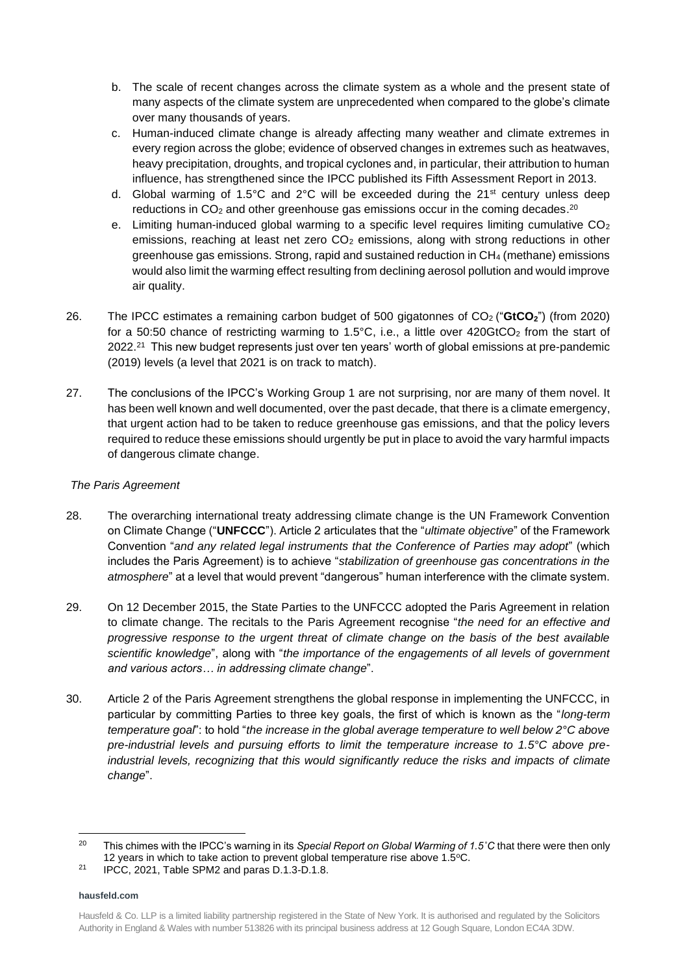- b. The scale of recent changes across the climate system as a whole and the present state of many aspects of the climate system are unprecedented when compared to the globe's climate over many thousands of years.
- c. Human-induced climate change is already affecting many weather and climate extremes in every region across the globe; evidence of observed changes in extremes such as heatwaves, heavy precipitation, droughts, and tropical cyclones and, in particular, their attribution to human influence, has strengthened since the IPCC published its Fifth Assessment Report in 2013.
- d. Global warming of 1.5°C and 2°C will be exceeded during the  $21^{st}$  century unless deep reductions in CO<sub>2</sub> and other greenhouse gas emissions occur in the coming decades.<sup>20</sup>
- e. Limiting human-induced global warming to a specific level requires limiting cumulative  $CO<sub>2</sub>$ emissions, reaching at least net zero CO<sub>2</sub> emissions, along with strong reductions in other greenhouse gas emissions. Strong, rapid and sustained reduction in CH<sup>4</sup> (methane) emissions would also limit the warming effect resulting from declining aerosol pollution and would improve air quality.
- 26. The IPCC estimates a remaining carbon budget of 500 gigatonnes of CO2 ("**GtCO2**") (from 2020) for a 50:50 chance of restricting warming to 1.5°C, i.e., a little over 420GtCO<sub>2</sub> from the start of 2022.<sup>21</sup> This new budget represents just over ten years' worth of global emissions at pre-pandemic (2019) levels (a level that 2021 is on track to match).
- 27. The conclusions of the IPCC's Working Group 1 are not surprising, nor are many of them novel. It has been well known and well documented, over the past decade, that there is a climate emergency, that urgent action had to be taken to reduce greenhouse gas emissions, and that the policy levers required to reduce these emissions should urgently be put in place to avoid the vary harmful impacts of dangerous climate change.

# *The Paris Agreement*

- 28. The overarching international treaty addressing climate change is the UN Framework Convention on Climate Change ("**UNFCCC**"). Article 2 articulates that the "*ultimate objective*" of the Framework Convention "*and any related legal instruments that the Conference of Parties may adopt*" (which includes the Paris Agreement) is to achieve "*stabilization of greenhouse gas concentrations in the atmosphere*" at a level that would prevent "dangerous" human interference with the climate system.
- 29. On 12 December 2015, the State Parties to the UNFCCC adopted the Paris Agreement in relation to climate change. The recitals to the Paris Agreement recognise "*the need for an effective and progressive response to the urgent threat of climate change on the basis of the best available scientific knowledge*", along with "*the importance of the engagements of all levels of government and various actors… in addressing climate change*".
- 30. Article 2 of the Paris Agreement strengthens the global response in implementing the UNFCCC, in particular by committing Parties to three key goals, the first of which is known as the "*long-term temperature goal*": to hold "*the increase in the global average temperature to well below 2°C above pre-industrial levels and pursuing efforts to limit the temperature increase to 1.5°C above preindustrial levels, recognizing that this would significantly reduce the risks and impacts of climate change*".

<sup>20</sup> This chimes with the IPCC's warning in its *Special Report on Global Warming of 1.5˚C* that there were then only 12 years in which to take action to prevent global temperature rise above  $1.5^{\circ}$ C.

<sup>&</sup>lt;sup>21</sup> IPCC, 2021, Table SPM2 and paras D.1.3-D.1.8.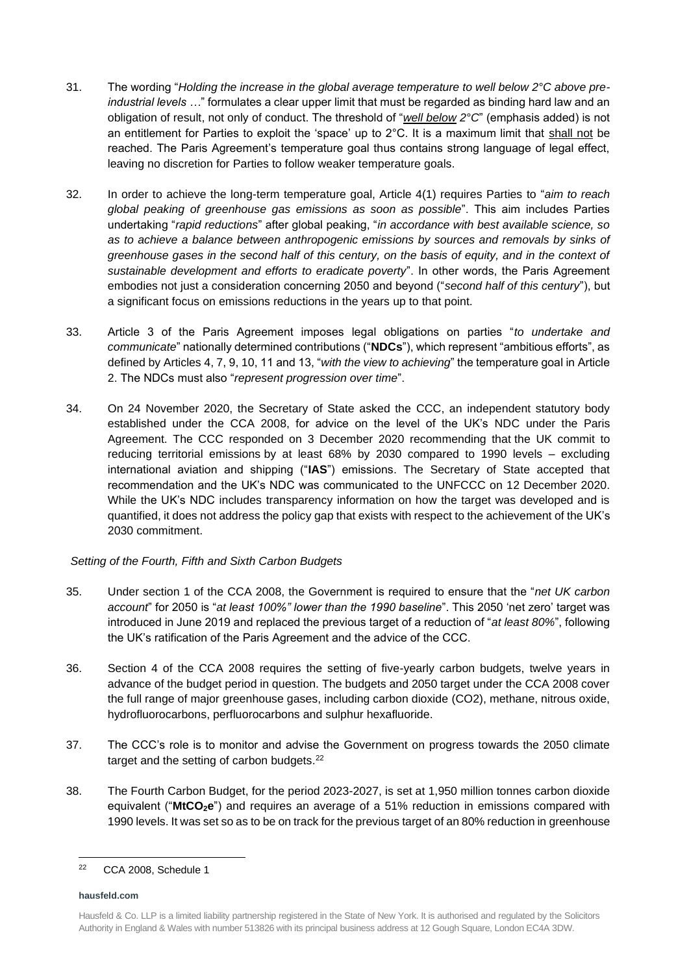- 31. The wording "*Holding the increase in the global average temperature to well below 2°C above preindustrial levels …*" formulates a clear upper limit that must be regarded as binding hard law and an obligation of result, not only of conduct. The threshold of "*well below 2°C*" (emphasis added) is not an entitlement for Parties to exploit the 'space' up to  $2^{\circ}$ C. It is a maximum limit that shall not be reached. The Paris Agreement's temperature goal thus contains strong language of legal effect, leaving no discretion for Parties to follow weaker temperature goals.
- 32. In order to achieve the long-term temperature goal, Article 4(1) requires Parties to "*aim to reach global peaking of greenhouse gas emissions as soon as possible*". This aim includes Parties undertaking "*rapid reductions*" after global peaking, "*in accordance with best available science, so as to achieve a balance between anthropogenic emissions by sources and removals by sinks of greenhouse gases in the second half of this century, on the basis of equity, and in the context of sustainable development and efforts to eradicate poverty*". In other words, the Paris Agreement embodies not just a consideration concerning 2050 and beyond ("*second half of this century*"), but a significant focus on emissions reductions in the years up to that point.
- 33. Article 3 of the Paris Agreement imposes legal obligations on parties "*to undertake and communicate*" nationally determined contributions ("**NDCs**"), which represent "ambitious efforts", as defined by Articles 4, 7, 9, 10, 11 and 13, "*with the view to achieving*" the temperature goal in Article 2. The NDCs must also "*represent progression over time*".
- 34. On 24 November 2020, the Secretary of State asked the CCC, an independent statutory body established under the CCA 2008, for advice on the level of the UK's NDC under the Paris Agreement. The CCC responded on 3 December 2020 recommending that the UK commit to reducing territorial emissions by at least 68% by 2030 compared to 1990 levels – excluding international aviation and shipping ("**IAS**") emissions. The Secretary of State accepted that recommendation and the UK's NDC was communicated to the UNFCCC on 12 December 2020. While the UK's NDC includes transparency information on how the target was developed and is quantified, it does not address the policy gap that exists with respect to the achievement of the UK's 2030 commitment.

# *Setting of the Fourth, Fifth and Sixth Carbon Budgets*

- 35. Under section 1 of the CCA 2008, the Government is required to ensure that the "*net UK carbon account*" for 2050 is "*at least 100%" lower than the 1990 baseline*". This 2050 'net zero' target was introduced in June 2019 and replaced the previous target of a reduction of "*at least 80%*", following the UK's ratification of the Paris Agreement and the advice of the CCC.
- 36. Section 4 of the CCA 2008 requires the setting of five-yearly carbon budgets, twelve years in advance of the budget period in question. The budgets and 2050 target under the CCA 2008 cover the full range of major greenhouse gases, including carbon dioxide (CO2), methane, nitrous oxide, hydrofluorocarbons, perfluorocarbons and sulphur hexafluoride.
- 37. The CCC's role is to monitor and advise the Government on progress towards the 2050 climate target and the setting of carbon budgets.<sup>22</sup>
- 38. The Fourth Carbon Budget, for the period 2023-2027, is set at 1,950 million tonnes carbon dioxide equivalent ("**MtCO2e**") and requires an average of a 51% reduction in emissions compared with 1990 levels. It was set so as to be on track for the previous target of an 80% reduction in greenhouse

<sup>22</sup> CCA 2008, Schedule 1

Hausfeld & Co. LLP is a limited liability partnership registered in the State of New York. It is authorised and regulated by the Solicitors Authority in England & Wales with number 513826 with its principal business address at 12 Gough Square, London EC4A 3DW.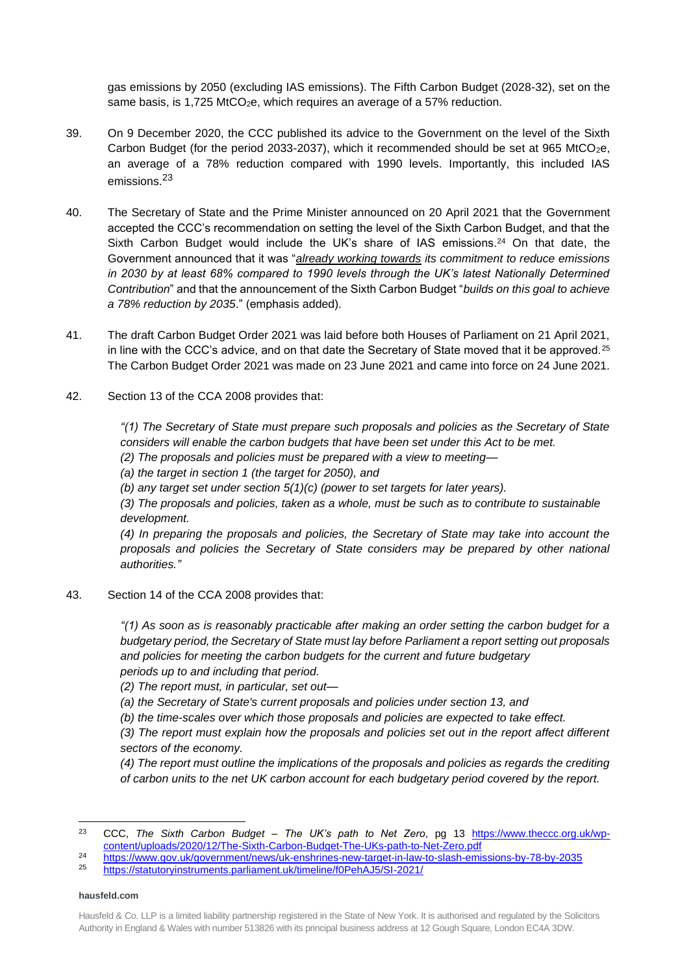gas emissions by 2050 (excluding IAS emissions). The Fifth Carbon Budget (2028-32), set on the same basis, is 1,725 MtCO<sub>2</sub>e, which requires an average of a 57% reduction.

- 39. On 9 December 2020, the CCC published its advice to the Government on the level of the Sixth Carbon Budget (for the period 2033-2037), which it recommended should be set at 965 MtCO<sub>2</sub>e, an average of a 78% reduction compared with 1990 levels. Importantly, this included IAS emissions.<sup>23</sup>
- 40. The Secretary of State and the Prime Minister announced on 20 April 2021 that the Government accepted the CCC's recommendation on setting the level of the Sixth Carbon Budget, and that the Sixth Carbon Budget would include the UK's share of IAS emissions.<sup>24</sup> On that date, the Government announced that it was "*already working towards its commitment to reduce emissions in 2030 by at least 68% compared to 1990 levels through the UK's latest Nationally Determined Contribution*" and that the announcement of the Sixth Carbon Budget "*builds on this goal to achieve a 78% reduction by 2035*." (emphasis added).
- 41. The draft Carbon Budget Order 2021 was laid before both Houses of Parliament on 21 April 2021, in line with the CCC's advice, and on that date the Secretary of State moved that it be approved. $25$ The Carbon Budget Order 2021 was made on 23 June 2021 and came into force on 24 June 2021.
- 42. Section 13 of the CCA 2008 provides that:

*"(1) The Secretary of State must prepare such proposals and policies as the Secretary of State considers will enable the carbon budgets that have been set under this Act to be met.* 

*(2) The proposals and policies must be prepared with a view to meeting—*

*(a) the target in section 1 (the target for 2050), and* 

*(b) any target set under section 5(1)(c) (power to set targets for later years).* 

*(3) The proposals and policies, taken as a whole, must be such as to contribute to sustainable development.* 

*(4) In preparing the proposals and policies, the Secretary of State may take into account the proposals and policies the Secretary of State considers may be prepared by other national authorities."*

43. Section 14 of the CCA 2008 provides that:

*"(1) As soon as is reasonably practicable after making an order setting the carbon budget for a budgetary period, the Secretary of State must lay before Parliament a report setting out proposals and policies for meeting the carbon budgets for the current and future budgetary periods up to and including that period.*

*(2) The report must, in particular, set out—*

*(a) the Secretary of State's current proposals and policies under section 13, and*

*(b) the time-scales over which those proposals and policies are expected to take effect.*

*(3) The report must explain how the proposals and policies set out in the report affect different sectors of the economy.*

*(4) The report must outline the implications of the proposals and policies as regards the crediting of carbon units to the net UK carbon account for each budgetary period covered by the report.*

<sup>25</sup> <https://statutoryinstruments.parliament.uk/timeline/f0PehAJ5/SI-2021/>

<sup>23</sup> CCC, *The Sixth Carbon Budget – The UK's path to Net Zero*, pg 13 [https://www.theccc.org.uk/wp](https://www.theccc.org.uk/wp-content/uploads/2020/12/The-Sixth-Carbon-Budget-The-UKs-path-to-Net-Zero.pdf)[content/uploads/2020/12/The-Sixth-Carbon-Budget-The-UKs-path-to-Net-Zero.pdf](https://www.theccc.org.uk/wp-content/uploads/2020/12/The-Sixth-Carbon-Budget-The-UKs-path-to-Net-Zero.pdf)

<sup>24</sup> <https://www.gov.uk/government/news/uk-enshrines-new-target-in-law-to-slash-emissions-by-78-by-2035><br>bttps://otetutor.jpetrumente.porlingent.uk/timeline/fQBebALE/SL 2021/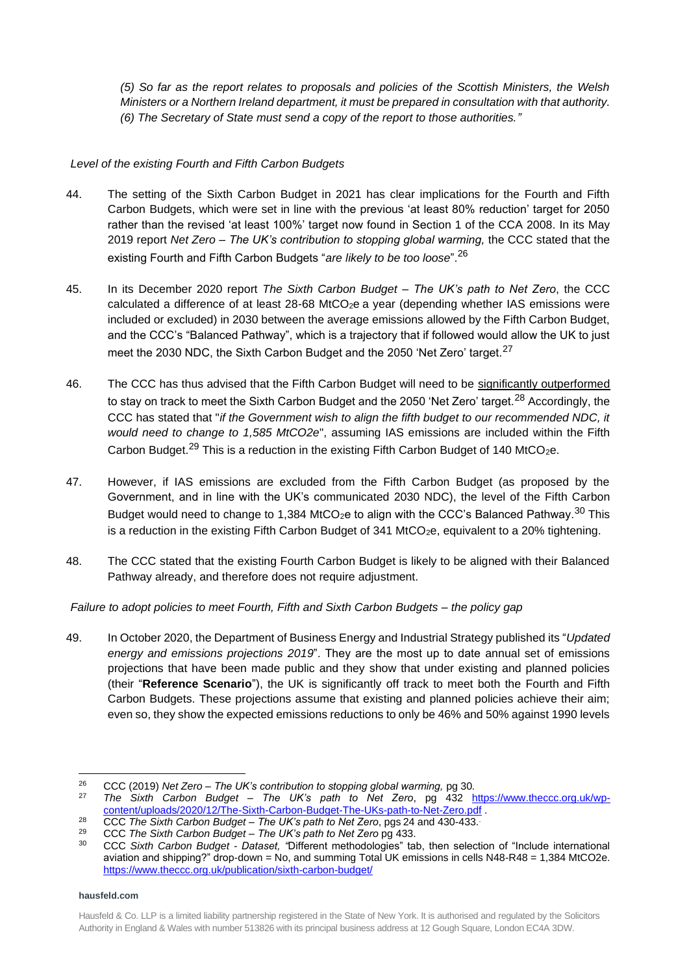*(5) So far as the report relates to proposals and policies of the Scottish Ministers, the Welsh Ministers or a Northern Ireland department, it must be prepared in consultation with that authority. (6) The Secretary of State must send a copy of the report to those authorities."*

# *Level of the existing Fourth and Fifth Carbon Budgets*

- 44. The setting of the Sixth Carbon Budget in 2021 has clear implications for the Fourth and Fifth Carbon Budgets, which were set in line with the previous 'at least 80% reduction' target for 2050 rather than the revised 'at least 100%' target now found in Section 1 of the CCA 2008. In its May 2019 report *Net Zero – The UK's contribution to stopping global warming,* the CCC stated that the existing Fourth and Fifth Carbon Budgets "*are likely to be too loose*".<sup>26</sup>
- 45. In its December 2020 report *The Sixth Carbon Budget – The UK's path to Net Zero*, the CCC calculated a difference of at least  $28-68$  MtCO<sub>2</sub>e a year (depending whether IAS emissions were included or excluded) in 2030 between the average emissions allowed by the Fifth Carbon Budget, and the CCC's "Balanced Pathway", which is a trajectory that if followed would allow the UK to just meet the 2030 NDC, the Sixth Carbon Budget and the 2050 'Net Zero' target.<sup>27</sup>
- 46. The CCC has thus advised that the Fifth Carbon Budget will need to be significantly outperformed to stay on track to meet the Sixth Carbon Budget and the 2050 'Net Zero' target.<sup>28</sup> Accordingly, the CCC has stated that "*if the Government wish to align the fifth budget to our recommended NDC, it would need to change to 1,585 MtCO2e*", assuming IAS emissions are included within the Fifth Carbon Budget.<sup>29</sup> This is a reduction in the existing Fifth Carbon Budget of 140 MtCO<sub>2</sub>e.
- 47. However, if IAS emissions are excluded from the Fifth Carbon Budget (as proposed by the Government, and in line with the UK's communicated 2030 NDC), the level of the Fifth Carbon Budget would need to change to 1,384 MtCO<sub>2</sub>e to align with the CCC's Balanced Pathway.<sup>30</sup> This is a reduction in the existing Fifth Carbon Budget of 341 MtCO<sub>2</sub>e, equivalent to a 20% tightening.
- 48. The CCC stated that the existing Fourth Carbon Budget is likely to be aligned with their Balanced Pathway already, and therefore does not require adjustment.

*Failure to adopt policies to meet Fourth, Fifth and Sixth Carbon Budgets – the policy gap*

49. In October 2020, the Department of Business Energy and Industrial Strategy published its "*Updated energy and emissions projections 2019*". They are the most up to date annual set of emissions projections that have been made public and they show that under existing and planned policies (their "**Reference Scenario**"), the UK is significantly off track to meet both the Fourth and Fifth Carbon Budgets. These projections assume that existing and planned policies achieve their aim; even so, they show the expected emissions reductions to only be 46% and 50% against 1990 levels

<sup>26</sup> CCC (2019) *Net Zero – The UK's contribution to stopping global warming,* pg 30*.*

<sup>27</sup> *The Sixth Carbon Budget – The UK's path to Net Zero*, pg 432 [https://www.theccc.org.uk/wp](https://www.theccc.org.uk/wp-content/uploads/2020/12/The-Sixth-Carbon-Budget-The-UKs-path-to-Net-Zero.pdf)[content/uploads/2020/12/The-Sixth-Carbon-Budget-The-UKs-path-to-Net-Zero.pdf](https://www.theccc.org.uk/wp-content/uploads/2020/12/The-Sixth-Carbon-Budget-The-UKs-path-to-Net-Zero.pdf) .

<sup>28</sup> CCC *The Sixth Carbon Budget – The UK's path to Net Zero*, pgs 24 and 430-433..

<sup>29</sup> CCC *The Sixth Carbon Budget – The UK's path to Net Zero* pg 433.

<sup>30</sup> CCC *Sixth Carbon Budget - Dataset, "*Different methodologies" tab, then selection of "Include international aviation and shipping?" drop-down = No, and summing Total UK emissions in cells N48-R48 = 1,384 MtCO2e. <https://www.theccc.org.uk/publication/sixth-carbon-budget/>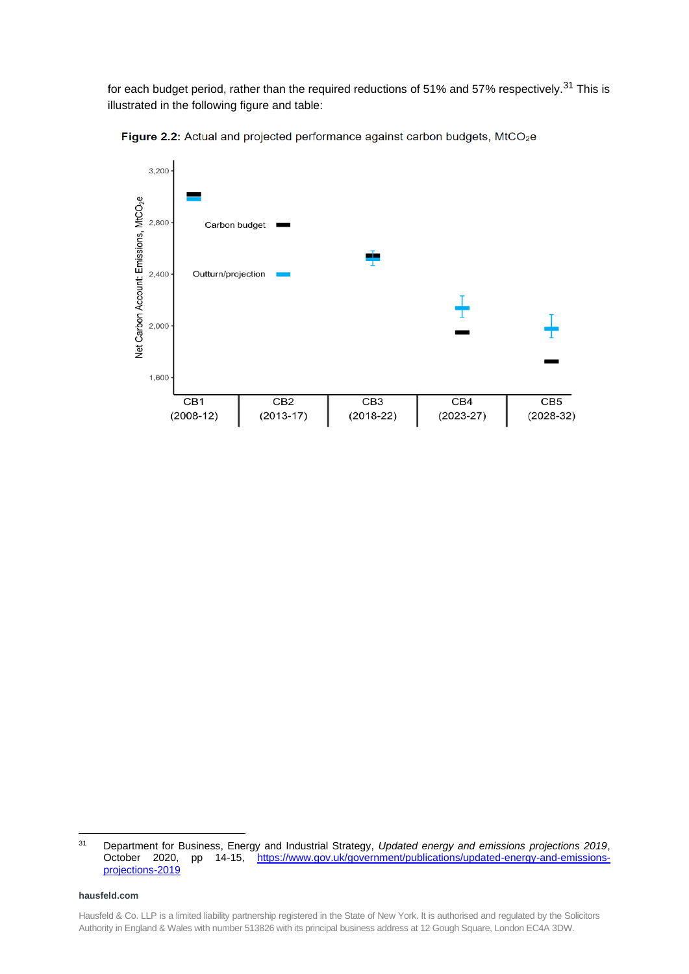for each budget period, rather than the required reductions of 51% and 57% respectively.<sup>31</sup> This is illustrated in the following figure and table:



**Figure 2.2:** Actual and projected performance against carbon budgets,  $MtCO<sub>2</sub>e$ 

<sup>31</sup> Department for Business, Energy and Industrial Strategy, *Updated energy and emissions projections 2019*, October 2020, pp 14-15, [https://www.gov.uk/government/publications/updated-energy-and-emissions](https://www.gov.uk/government/publications/updated-energy-and-emissions-projections-2019)[projections-2019](https://www.gov.uk/government/publications/updated-energy-and-emissions-projections-2019)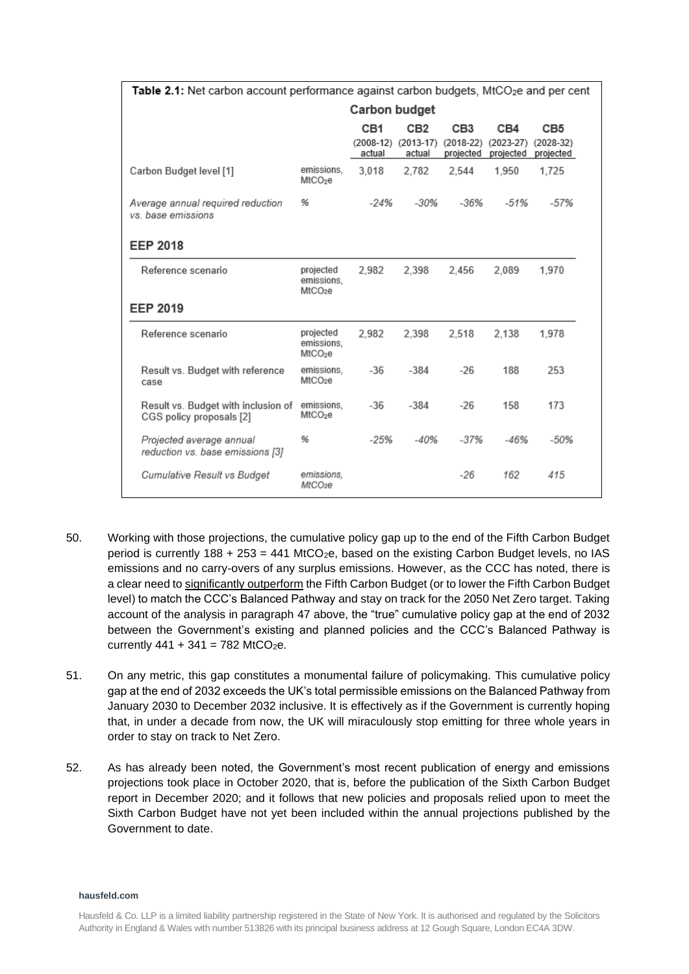| Table 2.1: Net carbon account performance against carbon budgets, MtCO <sub>2</sub> e and per cent |                                                |        |                               |                            |                            |                          |
|----------------------------------------------------------------------------------------------------|------------------------------------------------|--------|-------------------------------|----------------------------|----------------------------|--------------------------|
| Carbon budget                                                                                      |                                                |        |                               |                            |                            |                          |
|                                                                                                    |                                                | CB1    | CB <sub>2</sub>               | CB <sub>3</sub>            | CB4                        | CB5                      |
|                                                                                                    |                                                | actual | (2008-12) (2013-17)<br>actual | $(2018 - 22)$<br>projected | $(2023 - 27)$<br>projected | $(2028-32)$<br>projected |
| Carbon Budget level [1]                                                                            | emissions.<br>MtCO <sub>2</sub> e              | 3.018  | 2.782                         | 2.544                      | 1.950                      | 1.725                    |
| Average annual required reduction<br>vs, base emissions                                            | 96                                             | $-24%$ | $-30%$                        | $-36%$                     | $-51%$                     | $-57%$                   |
| <b>EEP 2018</b>                                                                                    |                                                |        |                               |                            |                            |                          |
| Reference scenario                                                                                 | projected<br>emissions.<br>MtCO <sub>2</sub> e | 2.982  | 2.398                         | 2.456                      | 2.089                      | 1.970                    |
| <b>EEP 2019</b>                                                                                    |                                                |        |                               |                            |                            |                          |
| Reference scenario                                                                                 | projected<br>emissions.<br>MtCO <sub>2</sub> e | 2,982  | 2,398                         | 2,518                      | 2,138                      | 1,978                    |
| Result vs. Budget with reference<br>case                                                           | emissions,<br>MtCO <sub>2</sub> e              | $-36$  | $-384$                        | $-26$                      | 188                        | 253                      |
| Result vs. Budget with inclusion of<br>CGS policy proposals [2]                                    | emissions,<br>MtCO <sub>2</sub> e              | $-36$  | $-384$                        | $-26$                      | 158                        | 173                      |
| Projected average annual<br>reduction vs. base emissions [3]                                       | 96                                             | $-25%$ | $-40%$                        | $-37%$                     | $-46%$                     | $-50%$                   |
| Cumulative Result vs Budget                                                                        | emissions.<br>MtCO <sub>2</sub> e              |        |                               | $-26$                      | 162                        | 415                      |

- 50. Working with those projections, the cumulative policy gap up to the end of the Fifth Carbon Budget period is currently  $188 + 253 = 441$  MtCO<sub>2</sub>e, based on the existing Carbon Budget levels, no IAS emissions and no carry-overs of any surplus emissions. However, as the CCC has noted, there is a clear need to significantly outperform the Fifth Carbon Budget (or to lower the Fifth Carbon Budget level) to match the CCC's Balanced Pathway and stay on track for the 2050 Net Zero target. Taking account of the analysis in paragraph 47 above, the "true" cumulative policy gap at the end of 2032 between the Government's existing and planned policies and the CCC's Balanced Pathway is currently  $441 + 341 = 782$  MtCO<sub>2</sub>e.
- 51. On any metric, this gap constitutes a monumental failure of policymaking. This cumulative policy gap at the end of 2032 exceeds the UK's total permissible emissions on the Balanced Pathway from January 2030 to December 2032 inclusive. It is effectively as if the Government is currently hoping that, in under a decade from now, the UK will miraculously stop emitting for three whole years in order to stay on track to Net Zero.
- 52. As has already been noted, the Government's most recent publication of energy and emissions projections took place in October 2020, that is, before the publication of the Sixth Carbon Budget report in December 2020; and it follows that new policies and proposals relied upon to meet the Sixth Carbon Budget have not yet been included within the annual projections published by the Government to date.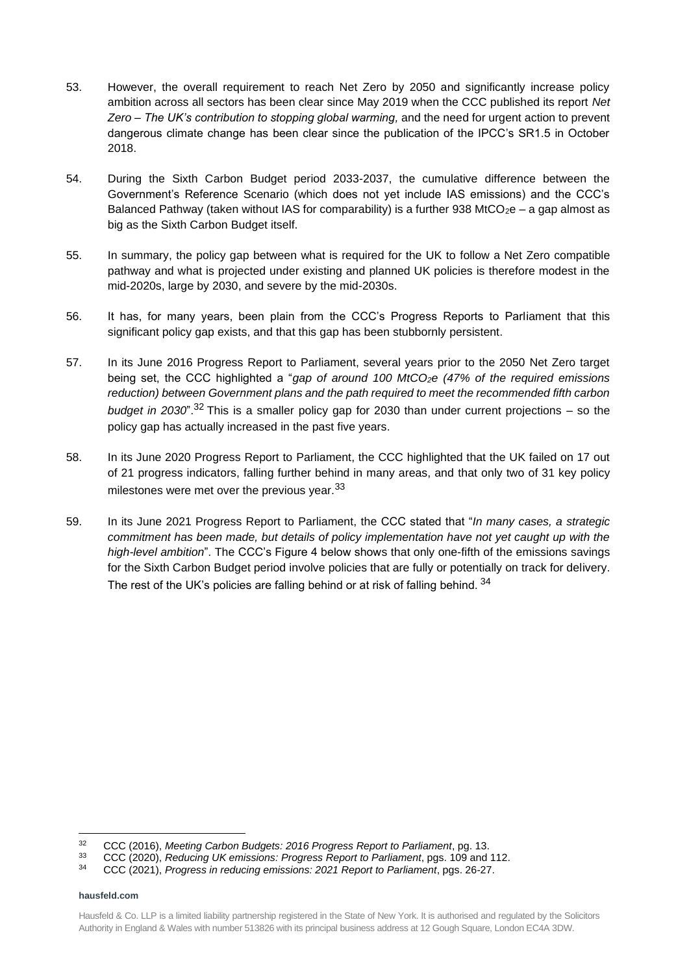- 53. However, the overall requirement to reach Net Zero by 2050 and significantly increase policy ambition across all sectors has been clear since May 2019 when the CCC published its report *Net Zero – The UK's contribution to stopping global warming,* and the need for urgent action to prevent dangerous climate change has been clear since the publication of the IPCC's SR1.5 in October 2018.
- 54. During the Sixth Carbon Budget period 2033-2037, the cumulative difference between the Government's Reference Scenario (which does not yet include IAS emissions) and the CCC's Balanced Pathway (taken without IAS for comparability) is a further 938 MtCO<sub>2</sub>e – a gap almost as big as the Sixth Carbon Budget itself.
- 55. In summary, the policy gap between what is required for the UK to follow a Net Zero compatible pathway and what is projected under existing and planned UK policies is therefore modest in the mid-2020s, large by 2030, and severe by the mid-2030s.
- 56. It has, for many years, been plain from the CCC's Progress Reports to Parliament that this significant policy gap exists, and that this gap has been stubbornly persistent.
- 57. In its June 2016 Progress Report to Parliament, several years prior to the 2050 Net Zero target being set, the CCC highlighted a "*gap of around 100 MtCO2e (47% of the required emissions reduction) between Government plans and the path required to meet the recommended fifth carbon budget in 2030*".<sup>32</sup> This is a smaller policy gap for 2030 than under current projections – so the policy gap has actually increased in the past five years.
- 58. In its June 2020 Progress Report to Parliament, the CCC highlighted that the UK failed on 17 out of 21 progress indicators, falling further behind in many areas, and that only two of 31 key policy milestones were met over the previous year.<sup>33</sup>
- 59. In its June 2021 Progress Report to Parliament, the CCC stated that "*In many cases, a strategic commitment has been made, but details of policy implementation have not yet caught up with the high-level ambition*". The CCC's Figure 4 below shows that only one-fifth of the emissions savings for the Sixth Carbon Budget period involve policies that are fully or potentially on track for delivery. The rest of the UK's policies are falling behind or at risk of falling behind.  $34$

<sup>32</sup> CCC (2016), *Meeting Carbon Budgets: 2016 Progress Report to Parliament*, pg. 13.

<sup>33</sup> CCC (2020), *Reducing UK emissions: Progress Report to Parliament*, pgs. 109 and 112.

<sup>34</sup> CCC (2021), *Progress in reducing emissions: 2021 Report to Parliament*, pgs. 26-27.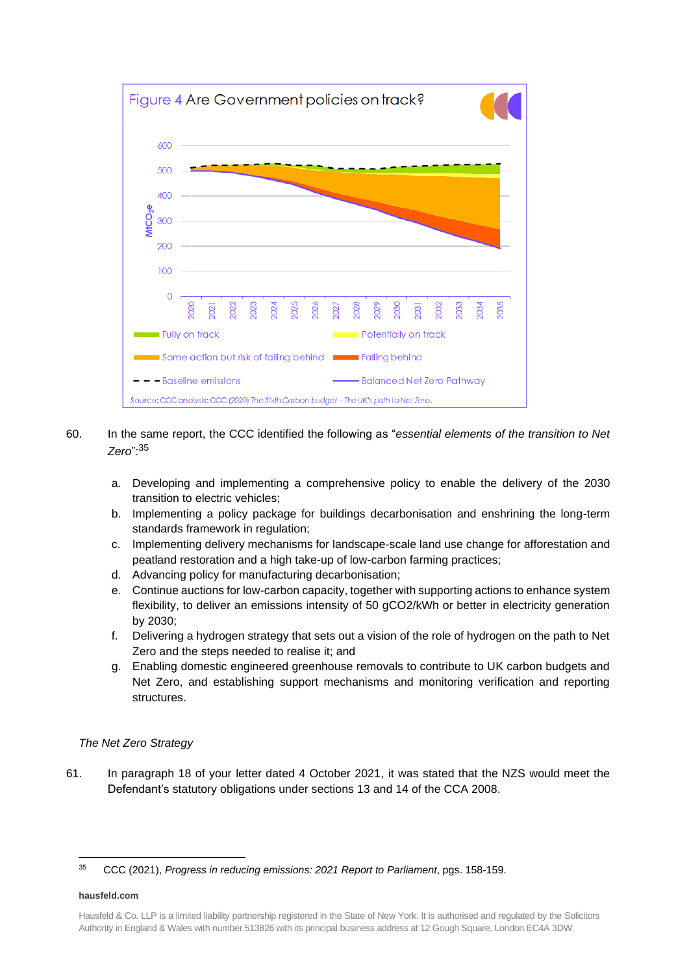

- 60. In the same report, the CCC identified the following as "*essential elements of the transition to Net Zero*": 35
	- a. Developing and implementing a comprehensive policy to enable the delivery of the 2030 transition to electric vehicles;
	- b. Implementing a policy package for buildings decarbonisation and enshrining the long-term standards framework in regulation;
	- c. Implementing delivery mechanisms for landscape-scale land use change for afforestation and peatland restoration and a high take-up of low-carbon farming practices;
	- d. Advancing policy for manufacturing decarbonisation;
	- e. Continue auctions for low-carbon capacity, together with supporting actions to enhance system flexibility, to deliver an emissions intensity of 50 gCO2/kWh or better in electricity generation by 2030;
	- f. Delivering a hydrogen strategy that sets out a vision of the role of hydrogen on the path to Net Zero and the steps needed to realise it; and
	- g. Enabling domestic engineered greenhouse removals to contribute to UK carbon budgets and Net Zero, and establishing support mechanisms and monitoring verification and reporting structures.

# *The Net Zero Strategy*

61. In paragraph 18 of your letter dated 4 October 2021, it was stated that the NZS would meet the Defendant's statutory obligations under sections 13 and 14 of the CCA 2008.

<sup>35</sup> CCC (2021), *Progress in reducing emissions: 2021 Report to Parliament*, pgs. 158-159.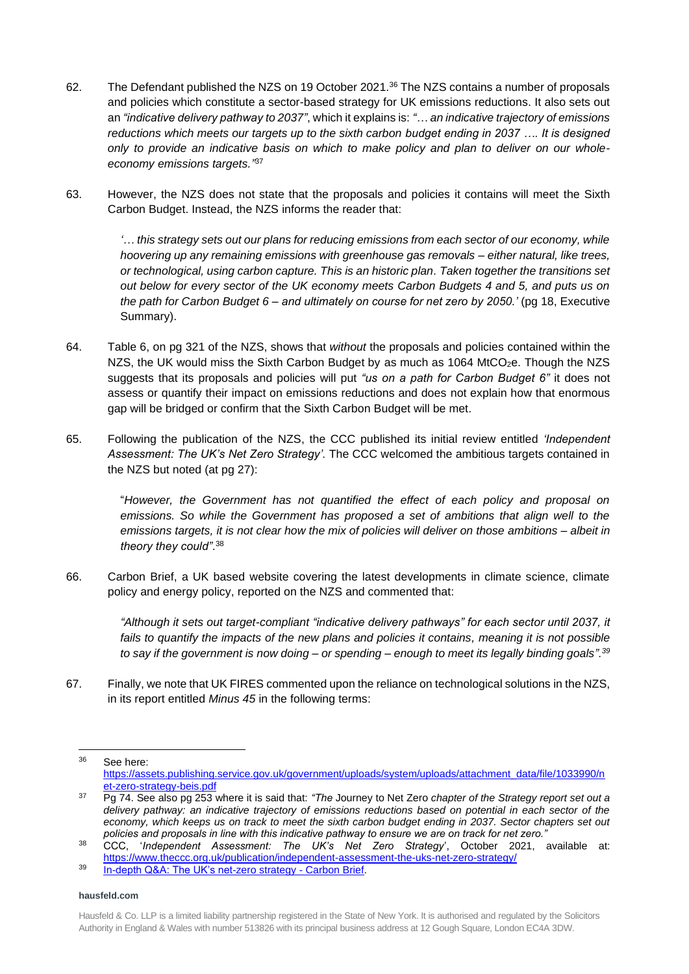- 62. The Defendant published the NZS on 19 October 2021.<sup>36</sup> The NZS contains a number of proposals and policies which constitute a sector-based strategy for UK emissions reductions. It also sets out an *"indicative delivery pathway to 2037"*, which it explains is: *"… an indicative trajectory of emissions reductions which meets our targets up to the sixth carbon budget ending in 2037 …. It is designed only to provide an indicative basis on which to make policy and plan to deliver on our wholeeconomy emissions targets."* 37
- 63. However, the NZS does not state that the proposals and policies it contains will meet the Sixth Carbon Budget. Instead, the NZS informs the reader that:

*'… this strategy sets out our plans for reducing emissions from each sector of our economy, while hoovering up any remaining emissions with greenhouse gas removals – either natural, like trees, or technological, using carbon capture. This is an historic plan. Taken together the transitions set out below for every sector of the UK economy meets Carbon Budgets 4 and 5, and puts us on the path for Carbon Budget 6 – and ultimately on course for net zero by 2050.'* (pg 18, Executive Summary).

- 64. Table 6, on pg 321 of the NZS, shows that *without* the proposals and policies contained within the NZS, the UK would miss the Sixth Carbon Budget by as much as  $1064$  MtCO<sub>2</sub>e. Though the NZS suggests that its proposals and policies will put *"us on a path for Carbon Budget 6"* it does not assess or quantify their impact on emissions reductions and does not explain how that enormous gap will be bridged or confirm that the Sixth Carbon Budget will be met.
- 65. Following the publication of the NZS, the CCC published its initial review entitled *'Independent Assessment: The UK's Net Zero Strategy'.* The CCC welcomed the ambitious targets contained in the NZS but noted (at pg 27):

"*However, the Government has not quantified the effect of each policy and proposal on emissions. So while the Government has proposed a set of ambitions that align well to the emissions targets, it is not clear how the mix of policies will deliver on those ambitions – albeit in theory they could"*. 38

66. Carbon Brief, a UK based website covering the latest developments in climate science, climate policy and energy policy, reported on the NZS and commented that:

*"Although it sets out target-compliant "indicative delivery pathways" for each sector until 2037, it fails to quantify the impacts of the new plans and policies it contains, meaning it is not possible to say if the government is now doing – or spending – enough to meet its legally binding goals".<sup>39</sup>*

67. Finally, we note that UK FIRES commented upon the reliance on technological solutions in the NZS, in its report entitled *Minus 45* in the following terms:

<sup>36</sup> See here: [https://assets.publishing.service.gov.uk/government/uploads/system/uploads/attachment\\_data/file/1033990/n](https://assets.publishing.service.gov.uk/government/uploads/system/uploads/attachment_data/file/1033990/net-zero-strategy-beis.pdf) [et-zero-strategy-beis.pdf](https://assets.publishing.service.gov.uk/government/uploads/system/uploads/attachment_data/file/1033990/net-zero-strategy-beis.pdf)

<sup>37</sup> Pg 74. See also pg 253 where it is said that: *"The* Journey to Net Zero *chapter of the Strategy report set out a delivery pathway: an indicative trajectory of emissions reductions based on potential in each sector of the economy, which keeps us on track to meet the sixth carbon budget ending in 2037. Sector chapters set out policies and proposals in line with this indicative pathway to ensure we are on track for net zero."* 

<sup>38</sup> CCC, '*Independent Assessment: The UK's Net Zero Strategy*', October 2021, available at: <https://www.theccc.org.uk/publication/independent-assessment-the-uks-net-zero-strategy/>

<sup>39</sup> [In-depth Q&A: The UK's net-zero strategy -](https://www.carbonbrief.org/in-depth-qa-the-uks-net-zero-strategy) Carbon Brief.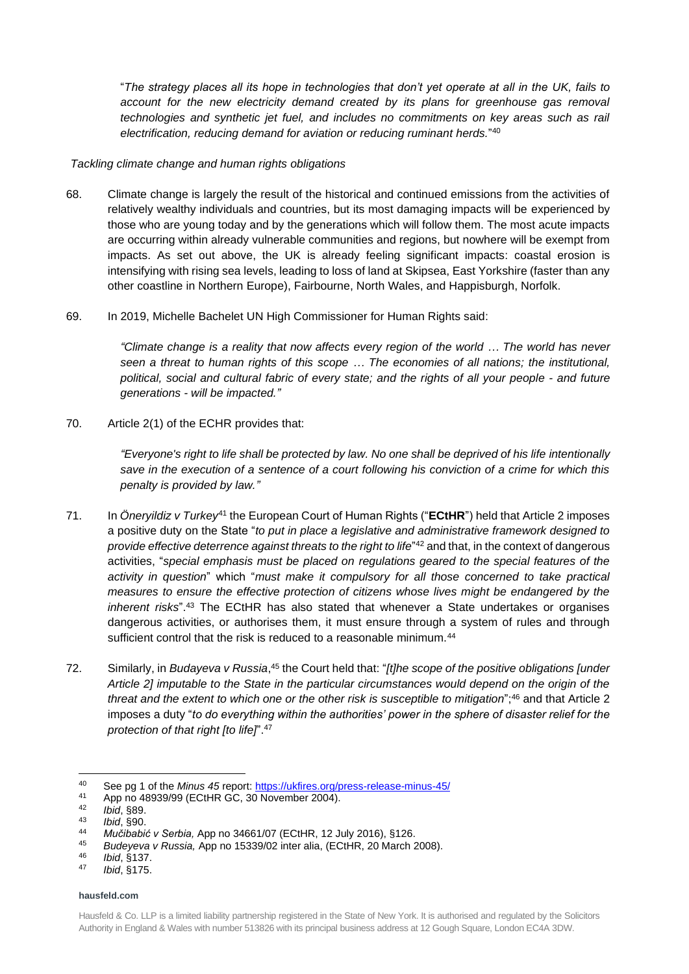"*The strategy places all its hope in technologies that don't yet operate at all in the UK, fails to account for the new electricity demand created by its plans for greenhouse gas removal technologies and synthetic jet fuel, and includes no commitments on key areas such as rail electrification, reducing demand for aviation or reducing ruminant herds.*" 40

## *Tackling climate change and human rights obligations*

- 68. Climate change is largely the result of the historical and continued emissions from the activities of relatively wealthy individuals and countries, but its most damaging impacts will be experienced by those who are young today and by the generations which will follow them. The most acute impacts are occurring within already vulnerable communities and regions, but nowhere will be exempt from impacts. As set out above, the UK is already feeling significant impacts: coastal erosion is intensifying with rising sea levels, leading to loss of land at Skipsea, East Yorkshire (faster than any other coastline in Northern Europe), Fairbourne, North Wales, and Happisburgh, Norfolk.
- 69. In 2019, Michelle Bachelet UN High Commissioner for Human Rights said:

*"Climate change is a reality that now affects every region of the world … The world has never seen a threat to human rights of this scope … The economies of all nations; the institutional,* political, social and cultural fabric of every state; and the rights of all your people - and future *generations - will be impacted."*

70. Article 2(1) of the ECHR provides that:

*"Everyone's right to life shall be protected by law. No one shall be deprived of his life intentionally save in the execution of a sentence of a court following his conviction of a crime for which this penalty is provided by law."*

- 71. In *Öneryildiz v Turkey*<sup>41</sup> the European Court of Human Rights ("**ECtHR**") held that Article 2 imposes a positive duty on the State "*to put in place a legislative and administrative framework designed to provide effective deterrence against threats to the right to life*" <sup>42</sup> and that, in the context of dangerous activities, "*special emphasis must be placed on regulations geared to the special features of the activity in question*" which "*must make it compulsory for all those concerned to take practical measures to ensure the effective protection of citizens whose lives might be endangered by the inherent risks*". <sup>43</sup> The ECtHR has also stated that whenever a State undertakes or organises dangerous activities, or authorises them, it must ensure through a system of rules and through sufficient control that the risk is reduced to a reasonable minimum.<sup>44</sup>
- 72. Similarly, in *Budayeva v Russia*, <sup>45</sup> the Court held that: "*[t]he scope of the positive obligations [under Article 2] imputable to the State in the particular circumstances would depend on the origin of the threat and the extent to which one or the other risk is susceptible to mitigation*"; <sup>46</sup> and that Article 2 imposes a duty "*to do everything within the authorities' power in the sphere of disaster relief for the protection of that right [to life]*". 47

<sup>40</sup> See pg 1 of the *Minus 45* report: https://ukfires.org/press-release-minus-45/<br>41 App no 48030/00 (ECtHB CC 30 November 2004)

<sup>41</sup> App no 48939/99 (ECtHR GC, 30 November 2004).

<sup>42</sup> *Ibid*, §89.

<sup>43</sup> *Ibid*, §90.

<sup>44</sup> *Mučibabić v Serbia,* App no 34661/07 (ECtHR, 12 July 2016), §126.

<sup>45</sup> *Budeyeva v Russia,* App no 15339/02 inter alia, (ECtHR, 20 March 2008).

<sup>46</sup> *Ibid*, §137.

<sup>47</sup> *Ibid*, §175.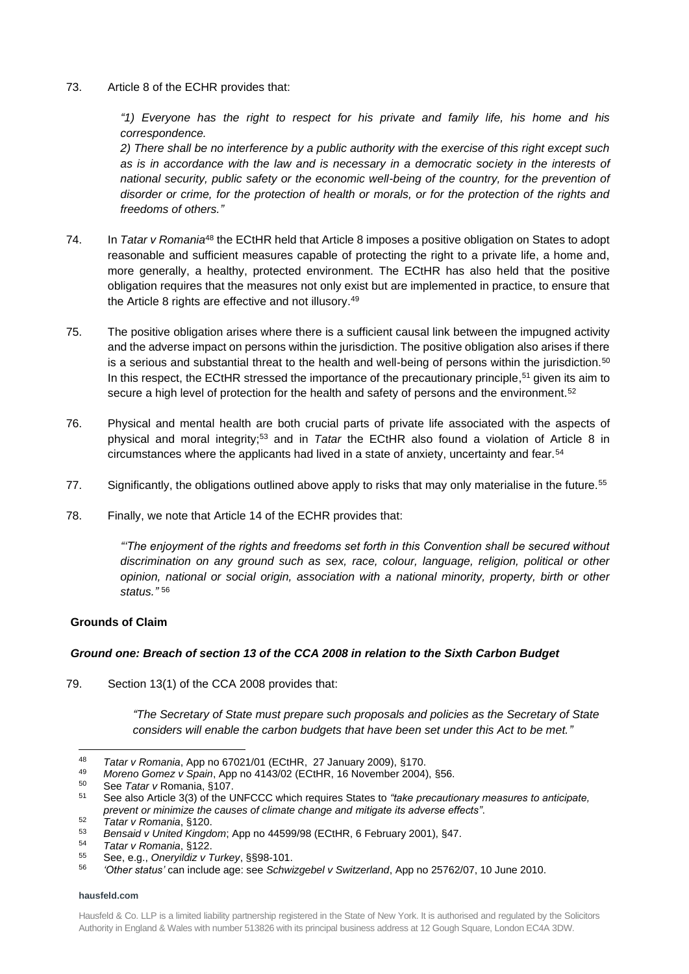73. Article 8 of the ECHR provides that:

*"1) Everyone has the right to respect for his private and family life, his home and his correspondence.*

*2) There shall be no interference by a public authority with the exercise of this right except such as is in accordance with the law and is necessary in a democratic society in the interests of national security, public safety or the economic well-being of the country, for the prevention of disorder or crime, for the protection of health or morals, or for the protection of the rights and freedoms of others."*

- 74. In *Tatar v Romania*<sup>48</sup> the ECtHR held that Article 8 imposes a positive obligation on States to adopt reasonable and sufficient measures capable of protecting the right to a private life, a home and, more generally, a healthy, protected environment. The ECtHR has also held that the positive obligation requires that the measures not only exist but are implemented in practice, to ensure that the Article 8 rights are effective and not illusory.<sup>49</sup>
- 75. The positive obligation arises where there is a sufficient causal link between the impugned activity and the adverse impact on persons within the jurisdiction. The positive obligation also arises if there is a serious and substantial threat to the health and well-being of persons within the jurisdiction.<sup>50</sup> In this respect, the ECtHR stressed the importance of the precautionary principle,<sup>51</sup> given its aim to secure a high level of protection for the health and safety of persons and the environment.<sup>52</sup>
- 76. Physical and mental health are both crucial parts of private life associated with the aspects of physical and moral integrity;<sup>53</sup> and in *Tatar* the ECtHR also found a violation of Article 8 in circumstances where the applicants had lived in a state of anxiety, uncertainty and fear.<sup>54</sup>
- 77. Significantly, the obligations outlined above apply to risks that may only materialise in the future.<sup>55</sup>
- 78. Finally, we note that Article 14 of the ECHR provides that:

*"'The enjoyment of the rights and freedoms set forth in this Convention shall be secured without discrimination on any ground such as sex, race, colour, language, religion, political or other opinion, national or social origin, association with a national minority, property, birth or other status."* 56

# **Grounds of Claim**

# *Ground one: Breach of section 13 of the CCA 2008 in relation to the Sixth Carbon Budget*

79. Section 13(1) of the CCA 2008 provides that:

*"The Secretary of State must prepare such proposals and policies as the Secretary of State considers will enable the carbon budgets that have been set under this Act to be met."*

<sup>48</sup> *Tatar v Romania*, App no 67021/01 (ECtHR, 27 January 2009), §170.

<sup>49</sup> *Moreno Gomez v Spain*, App no 4143/02 (ECtHR, 16 November 2004), §56.

<sup>50</sup> See *Tatar v* Romania, §107.

<sup>51</sup> See also Article 3(3) of the UNFCCC which requires States to *"take precautionary measures to anticipate, prevent or minimize the causes of climate change and mitigate its adverse effects"*.

<sup>52</sup> *Tatar v Romania*, §120.

<sup>53</sup> *Bensaid v United Kingdom*; App no 44599/98 (ECtHR, 6 February 2001), §47.

<sup>54</sup> *Tatar v Romania*, §122.

<sup>55</sup> See, e.g., *Oneryildiz v Turkey*, §§98-101.

<sup>56</sup> *'Other status'* can include age: see *Schwizgebel v Switzerland*, App no 25762/07, 10 June 2010.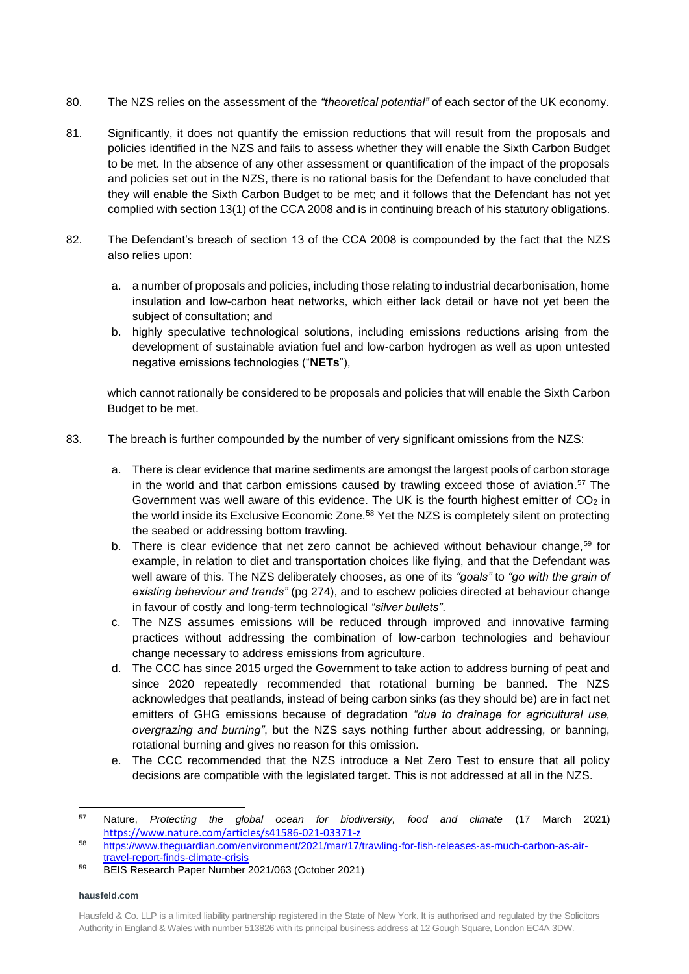- 80. The NZS relies on the assessment of the *"theoretical potential"* of each sector of the UK economy.
- 81. Significantly, it does not quantify the emission reductions that will result from the proposals and policies identified in the NZS and fails to assess whether they will enable the Sixth Carbon Budget to be met. In the absence of any other assessment or quantification of the impact of the proposals and policies set out in the NZS, there is no rational basis for the Defendant to have concluded that they will enable the Sixth Carbon Budget to be met; and it follows that the Defendant has not yet complied with section 13(1) of the CCA 2008 and is in continuing breach of his statutory obligations.
- 82. The Defendant's breach of section 13 of the CCA 2008 is compounded by the fact that the NZS also relies upon:
	- a. a number of proposals and policies, including those relating to industrial decarbonisation, home insulation and low-carbon heat networks, which either lack detail or have not yet been the subject of consultation; and
	- b. highly speculative technological solutions, including emissions reductions arising from the development of sustainable aviation fuel and low-carbon hydrogen as well as upon untested negative emissions technologies ("**NETs**"),

which cannot rationally be considered to be proposals and policies that will enable the Sixth Carbon Budget to be met.

- 83. The breach is further compounded by the number of very significant omissions from the NZS:
	- a. There is clear evidence that marine sediments are amongst the largest pools of carbon storage in the world and that carbon emissions caused by trawling exceed those of aviation. <sup>57</sup> The Government was well aware of this evidence. The UK is the fourth highest emitter of  $CO<sub>2</sub>$  in the world inside its Exclusive Economic Zone.<sup>58</sup> Yet the NZS is completely silent on protecting the seabed or addressing bottom trawling.
	- b. There is clear evidence that net zero cannot be achieved without behaviour change.<sup>59</sup> for example, in relation to diet and transportation choices like flying, and that the Defendant was well aware of this. The NZS deliberately chooses, as one of its *"goals"* to *"go with the grain of existing behaviour and trends"* (pg 274), and to eschew policies directed at behaviour change in favour of costly and long-term technological *"silver bullets"*.
	- c. The NZS assumes emissions will be reduced through improved and innovative farming practices without addressing the combination of low-carbon technologies and behaviour change necessary to address emissions from agriculture.
	- d. The CCC has since 2015 urged the Government to take action to address burning of peat and since 2020 repeatedly recommended that rotational burning be banned. The NZS acknowledges that peatlands, instead of being carbon sinks (as they should be) are in fact net emitters of GHG emissions because of degradation *"due to drainage for agricultural use, overgrazing and burning"*, but the NZS says nothing further about addressing, or banning, rotational burning and gives no reason for this omission.
	- e. The CCC recommended that the NZS introduce a Net Zero Test to ensure that all policy decisions are compatible with the legislated target. This is not addressed at all in the NZS.

<sup>57</sup> Nature, *Protecting the global ocean for biodiversity, food and climate* (17 March 2021) <https://www.nature.com/articles/s41586-021-03371-z>

<sup>58</sup> [https://www.theguardian.com/environment/2021/mar/17/trawling-for-fish-releases-as-much-carbon-as-air](https://www.theguardian.com/environment/2021/mar/17/trawling-for-fish-releases-as-much-carbon-as-air-travel-report-finds-climate-crisis)[travel-report-finds-climate-crisis](https://www.theguardian.com/environment/2021/mar/17/trawling-for-fish-releases-as-much-carbon-as-air-travel-report-finds-climate-crisis)

<sup>59</sup> BEIS Research Paper Number 2021/063 (October 2021)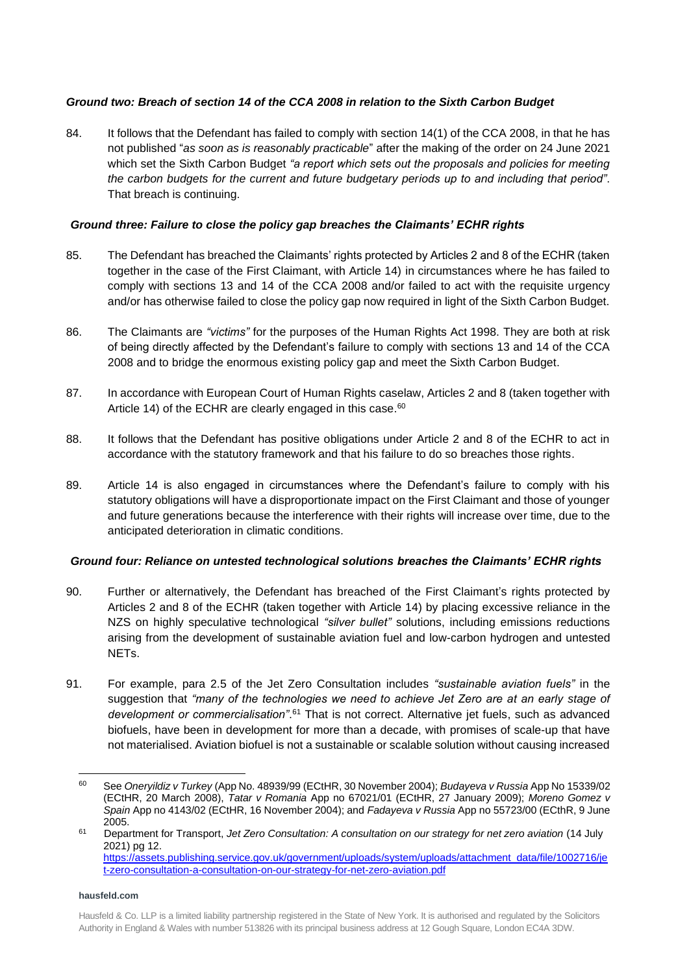# *Ground two: Breach of section 14 of the CCA 2008 in relation to the Sixth Carbon Budget*

84. It follows that the Defendant has failed to comply with section 14(1) of the CCA 2008, in that he has not published "*as soon as is reasonably practicable*" after the making of the order on 24 June 2021 which set the Sixth Carbon Budget *"a report which sets out the proposals and policies for meeting the carbon budgets for the current and future budgetary periods up to and including that period"*. That breach is continuing.

# *Ground three: Failure to close the policy gap breaches the Claimants' ECHR rights*

- 85. The Defendant has breached the Claimants' rights protected by Articles 2 and 8 of the ECHR (taken together in the case of the First Claimant, with Article 14) in circumstances where he has failed to comply with sections 13 and 14 of the CCA 2008 and/or failed to act with the requisite urgency and/or has otherwise failed to close the policy gap now required in light of the Sixth Carbon Budget.
- 86. The Claimants are *"victims"* for the purposes of the Human Rights Act 1998. They are both at risk of being directly affected by the Defendant's failure to comply with sections 13 and 14 of the CCA 2008 and to bridge the enormous existing policy gap and meet the Sixth Carbon Budget.
- 87. In accordance with European Court of Human Rights caselaw, Articles 2 and 8 (taken together with Article 14) of the ECHR are clearly engaged in this case.<sup>60</sup>
- 88. It follows that the Defendant has positive obligations under Article 2 and 8 of the ECHR to act in accordance with the statutory framework and that his failure to do so breaches those rights.
- 89. Article 14 is also engaged in circumstances where the Defendant's failure to comply with his statutory obligations will have a disproportionate impact on the First Claimant and those of younger and future generations because the interference with their rights will increase over time, due to the anticipated deterioration in climatic conditions.

# *Ground four: Reliance on untested technological solutions breaches the Claimants' ECHR rights*

- 90. Further or alternatively, the Defendant has breached of the First Claimant's rights protected by Articles 2 and 8 of the ECHR (taken together with Article 14) by placing excessive reliance in the NZS on highly speculative technological *"silver bullet"* solutions, including emissions reductions arising from the development of sustainable aviation fuel and low-carbon hydrogen and untested NETs.
- 91. For example, para 2.5 of the Jet Zero Consultation includes *"sustainable aviation fuels"* in the suggestion that *"many of the technologies we need to achieve Jet Zero are at an early stage of development or commercialisation"*. <sup>61</sup> That is not correct. Alternative jet fuels, such as advanced biofuels, have been in development for more than a decade, with promises of scale-up that have not materialised. Aviation biofuel is not a sustainable or scalable solution without causing increased

<sup>60</sup> See *Oneryildiz v Turkey* (App No. 48939/99 (ECtHR, 30 November 2004); *Budayeva v Russia* App No 15339/02 (ECtHR, 20 March 2008), *Tatar v Romania* App no 67021/01 (ECtHR, 27 January 2009); *Moreno Gomez v Spain* App no 4143/02 (ECtHR, 16 November 2004); and *Fadayeva v Russia* App no 55723/00 (ECthR, 9 June 2005.

<sup>61</sup> Department for Transport, *Jet Zero Consultation: A consultation on our strategy for net zero aviation* (14 July 2021) pg 12. [https://assets.publishing.service.gov.uk/government/uploads/system/uploads/attachment\\_data/file/1002716/je](https://assets.publishing.service.gov.uk/government/uploads/system/uploads/attachment_data/file/1002716/jet-zero-consultation-a-consultation-on-our-strategy-for-net-zero-aviation.pdf) [t-zero-consultation-a-consultation-on-our-strategy-for-net-zero-aviation.pdf](https://assets.publishing.service.gov.uk/government/uploads/system/uploads/attachment_data/file/1002716/jet-zero-consultation-a-consultation-on-our-strategy-for-net-zero-aviation.pdf)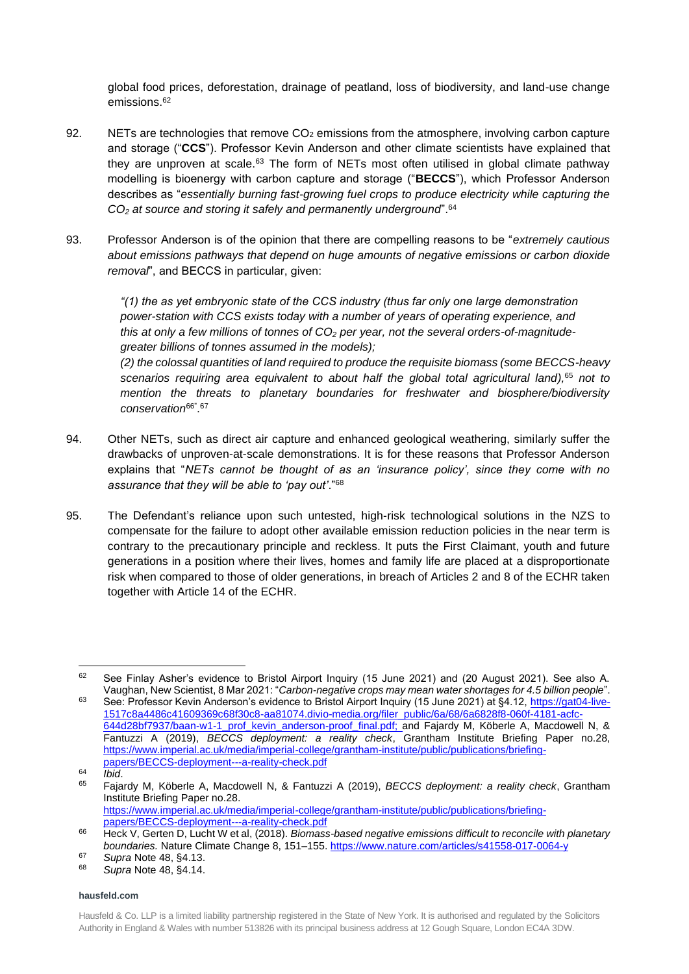global food prices, deforestation, drainage of peatland, loss of biodiversity, and land-use change emissions. 62

- 92. NETs are technologies that remove  $CO<sub>2</sub>$  emissions from the atmosphere, involving carbon capture and storage ("**CCS**"). Professor Kevin Anderson and other climate scientists have explained that they are unproven at scale.<sup>63</sup> The form of NETs most often utilised in global climate pathway modelling is bioenergy with carbon capture and storage ("**BECCS**"), which Professor Anderson describes as "*essentially burning fast-growing fuel crops to produce electricity while capturing the CO<sup>2</sup> at source and storing it safely and permanently underground*".<sup>64</sup>
- 93. Professor Anderson is of the opinion that there are compelling reasons to be "*extremely cautious about emissions pathways that depend on huge amounts of negative emissions or carbon dioxide removal*", and BECCS in particular, given:

*"(1) the as yet embryonic state of the CCS industry (thus far only one large demonstration power-station with CCS exists today with a number of years of operating experience, and this at only a few millions of tonnes of CO<sup>2</sup> per year, not the several orders-of-magnitudegreater billions of tonnes assumed in the models);*

*(2) the colossal quantities of land required to produce the requisite biomass (some BECCS-heavy scenarios requiring area equivalent to about half the global total agricultural land),* <sup>65</sup> *not to mention the threats to planetary boundaries for freshwater and biosphere/biodiversity conservation*66" . 67

- 94. Other NETs, such as direct air capture and enhanced geological weathering, similarly suffer the drawbacks of unproven-at-scale demonstrations. It is for these reasons that Professor Anderson explains that "*NETs cannot be thought of as an 'insurance policy', since they come with no assurance that they will be able to 'pay out'*."<sup>68</sup>
- 95. The Defendant's reliance upon such untested, high-risk technological solutions in the NZS to compensate for the failure to adopt other available emission reduction policies in the near term is contrary to the precautionary principle and reckless. It puts the First Claimant, youth and future generations in a position where their lives, homes and family life are placed at a disproportionate risk when compared to those of older generations, in breach of Articles 2 and 8 of the ECHR taken together with Article 14 of the ECHR.

<sup>&</sup>lt;sup>62</sup> See Finlay Asher's evidence to Bristol Airport Inquiry (15 June 2021) and (20 August 2021). See also A. Vaughan, New Scientist, 8 Mar 2021: "*Carbon-negative crops may mean water shortages for 4.5 billion people*".

<sup>63</sup> See: Professor Kevin Anderson's evidence to Bristol Airport Inquiry (15 June 2021) at §4.12, [https://gat04-live-](https://gat04-live-1517c8a4486c41609369c68f30c8-aa81074.divio-media.org/filer_public/6a/68/6a6828f8-060f-4181-acfc-644d28bf7937/baan-w1-1_prof_kevin_anderson-proof_final.pdf)[1517c8a4486c41609369c68f30c8-aa81074.divio-media.org/filer\\_public/6a/68/6a6828f8-060f-4181-acfc-](https://gat04-live-1517c8a4486c41609369c68f30c8-aa81074.divio-media.org/filer_public/6a/68/6a6828f8-060f-4181-acfc-644d28bf7937/baan-w1-1_prof_kevin_anderson-proof_final.pdf)[644d28bf7937/baan-w1-1\\_prof\\_kevin\\_anderson-proof\\_final.pdf;](https://gat04-live-1517c8a4486c41609369c68f30c8-aa81074.divio-media.org/filer_public/6a/68/6a6828f8-060f-4181-acfc-644d28bf7937/baan-w1-1_prof_kevin_anderson-proof_final.pdf) and Fajardy M, Köberle A, Macdowell N, & Fantuzzi A (2019), *BECCS deployment: a reality check*, Grantham Institute Briefing Paper no.28, [https://www.imperial.ac.uk/media/imperial-college/grantham-institute/public/publications/briefing](https://www.imperial.ac.uk/media/imperial-college/grantham-institute/public/publications/briefing-papers/BECCS-deployment---a-reality-check.pdf)[papers/BECCS-deployment---a-reality-check.pdf](https://www.imperial.ac.uk/media/imperial-college/grantham-institute/public/publications/briefing-papers/BECCS-deployment---a-reality-check.pdf)

<sup>64</sup> *Ibid*.

<sup>65</sup> Fajardy M, Köberle A, Macdowell N, & Fantuzzi A (2019), *BECCS deployment: a reality check*, Grantham Institute Briefing Paper no.28. [https://www.imperial.ac.uk/media/imperial-college/grantham-institute/public/publications/briefing-](https://www.imperial.ac.uk/media/imperial-college/grantham-institute/public/publications/briefing-papers/BECCS-deployment---a-reality-check.pdf)

[papers/BECCS-deployment---a-reality-check.pdf](https://www.imperial.ac.uk/media/imperial-college/grantham-institute/public/publications/briefing-papers/BECCS-deployment---a-reality-check.pdf) <sup>66</sup> Heck V, Gerten D, Lucht W et al, (2018). *Biomass-based negative emissions difficult to reconcile with planetary* 

*boundaries.* Nature Climate Change 8, 151–155[. https://www.nature.com/articles/s41558-017-0064-y](https://www.nature.com/articles/s41558-017-0064-y)

<sup>67</sup> *Supra* Note 48, §4.13.

<sup>68</sup> *Supra* Note 48, §4.14.